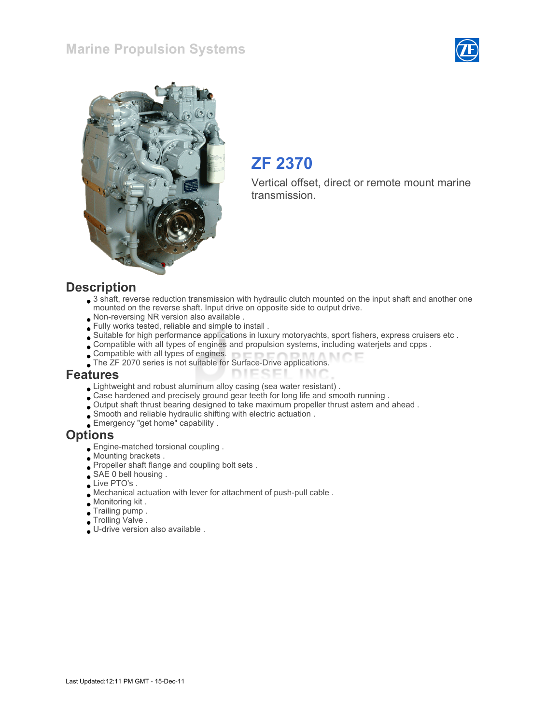# Marine Propulsion Systems





# ZF 2370

Vertical offset, direct or remote mount marine transmission.

#### **Description**

• 3 shaft, reverse reduction transmission with hydraulic clutch mounted on the input shaft and another one mounted on the reverse shaft. Input drive on opposite side to output drive.

**TIME** 

- Non-reversing NR version also available .
- Fully works tested, reliable and simple to install .
- Suitable for high performance applications in luxury motoryachts, sport fishers, express cruisers etc .
- Compatible with all types of engines and propulsion systems, including waterjets and cpps .
- Compatible with all types of engines.
- The ZF 2070 series is not suitable for Surface-Drive applications. **DIESEL**

#### Features

- Lightweight and robust aluminum alloy casing (sea water resistant) .
- Case hardened and precisely ground gear teeth for long life and smooth running .
- Output shaft thrust bearing designed to take maximum propeller thrust astern and ahead .
- Smooth and reliable hydraulic shifting with electric actuation .
- Emergency "get home" capability .

#### **Options**

- Engine-matched torsional coupling .
- Mounting brackets .
- Propeller shaft flange and coupling bolt sets .
- SAE 0 bell housing .
- Live PTO's .
- Mechanical actuation with lever for attachment of push-pull cable .
- Monitoring kit .
- Trailing pump .
- Trolling Valve .
- U-drive version also available .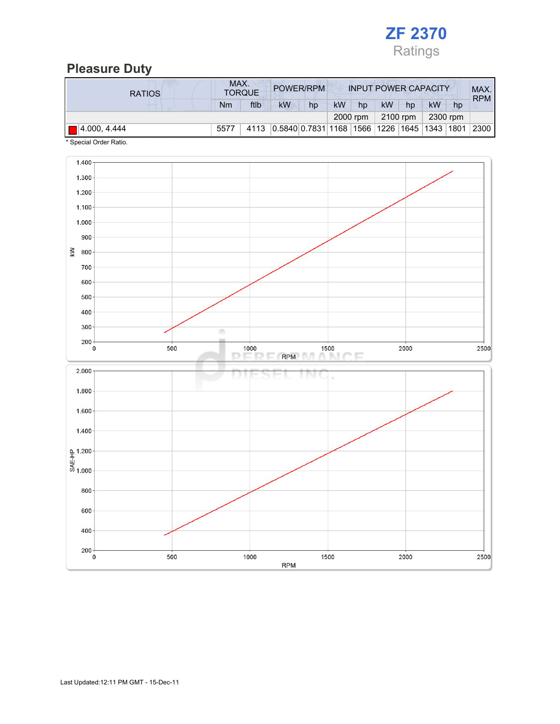

# Pleasure Duty

| <b>RATIOS</b>          | MAX. | <b>TORQUE</b> | POWER/RPM                                               |    | <b>INPUT POWER CAPACITY</b> |          |           |          |          | MAX.<br><b>RPM</b> |      |
|------------------------|------|---------------|---------------------------------------------------------|----|-----------------------------|----------|-----------|----------|----------|--------------------|------|
|                        | Nm   | ftlb          | <b>kW</b>                                               | hp | <b>kW</b>                   | hp       | <b>kW</b> | hp       | kW       | hp                 |      |
|                        |      |               |                                                         |    |                             | 2000 rpm |           | 2100 rpm | 2300 rpm |                    |      |
| $  $ $  $ 4.000, 4.444 | 5577 | 4113          | 0.5840 0.7831   1168   1566   1226   1645   1343   1801 |    |                             |          |           |          |          |                    | 2300 |

\* Special Order Ratio.

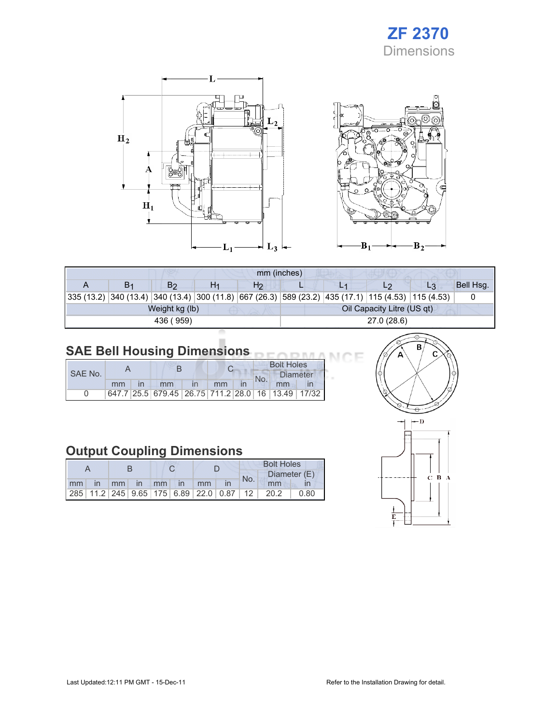# ZF 2370 **Dimensions**

Œ



| mm (inches)                                                                                        |    |                |    |                |                            |  |  |    |           |  |  |
|----------------------------------------------------------------------------------------------------|----|----------------|----|----------------|----------------------------|--|--|----|-----------|--|--|
|                                                                                                    | В1 | B2             | H1 | H <sub>2</sub> |                            |  |  | L3 | Bell Hsg. |  |  |
| 335 (13.2) 340 (13.4) 340 (13.4) 300 (11.8) 667 (26.3) 589 (23.2) 435 (17.1) 115 (4.53) 115 (4.53) |    |                |    |                |                            |  |  |    |           |  |  |
|                                                                                                    |    | Weight kg (lb) |    |                | Oil Capacity Litre (US qt) |  |  |    |           |  |  |
|                                                                                                    |    | 436 (959)      |    |                | 27.0 (28.6)                |  |  |    |           |  |  |
|                                                                                                    |    |                |    |                |                            |  |  |    |           |  |  |

#### SAE Bell Housing Dimensions

|         |    |  |                                                   |  |    |  | <b>Bolt Holes</b> |                 |  |  |
|---------|----|--|---------------------------------------------------|--|----|--|-------------------|-----------------|--|--|
| SAE No. |    |  |                                                   |  |    |  |                   | <b>Diameter</b> |  |  |
|         | mm |  | mm                                                |  | mm |  | No.               | mm              |  |  |
|         |    |  | 647.7 25.5 679.45 26.75 711.2 28.0 16 13.49 17/32 |  |    |  |                   |                 |  |  |

# Output Coupling Dimensions

|    |     |  |  |                |                                                         | <b>Bolt Holes</b> |     |              |      |  |
|----|-----|--|--|----------------|---------------------------------------------------------|-------------------|-----|--------------|------|--|
|    |     |  |  |                |                                                         |                   | No. | Diameter (E) |      |  |
| mm | in. |  |  | mm in mm in mm |                                                         |                   |     | mm           |      |  |
|    |     |  |  |                | 285   11.2   245   9.65   175   6.89   22.0   0.87   12 |                   |     | 20.2         | 0.80 |  |